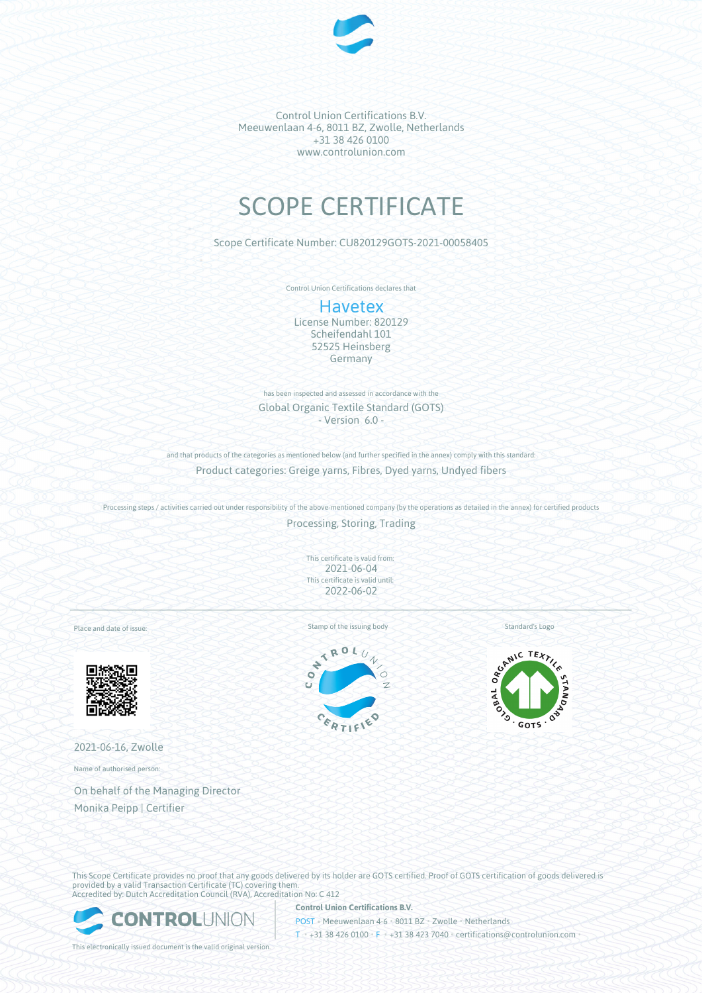

Control Union Certifications B.V. Meeuwenlaan 4-6, 8011 BZ, Zwolle, Netherlands +31 38 426 0100 www.controlunion.com

# SCOPE CERTIFICATE

Scope Certificate Number: CU820129GOTS-2021-00058405

Control Union Certifications declares that

# **Havetex**

License Number: 820129 Scheifendahl 101 52525 Heinsberg Germany

has been inspected and assessed in accordance with the Global Organic Textile Standard (GOTS) - Version 6.0 -

and that products of the categories as mentioned below (and further specified in the annex) comply with this standard: Product categories: Greige yarns, Fibres, Dyed yarns, Undyed fibers

Processing steps / activities carried out under responsibility of the above-mentioned company (by the operations as detailed in the annex) for certified products

Processing, Storing, Trading

This certificate is valid from: 2021-06-04 This certificate is valid until: 2022-06-02

Place and date of issue:



2021-06-16, Zwolle

Name of authorised person:

On behalf of the Managing Director Monika Peipp | Certifier

Stamp of the issuing body Standard's Logo





This Scope Certificate provides no proof that any goods delivered by its holder are GOTS certified. Proof of GOTS certification of goods delivered is provided by a valid Transaction Certificate (TC) covering them. Accredited by: Dutch Accreditation Council (RVA), Accreditation No: C 412



**Control Union Certifications B.V.** POST • Meeuwenlaan 4-6 • 8011 BZ • Zwolle • Netherlands T • +31 38 426 0100 • F • +31 38 423 7040 • certifications@controlunion.com •

This electronically issued document is the valid original version.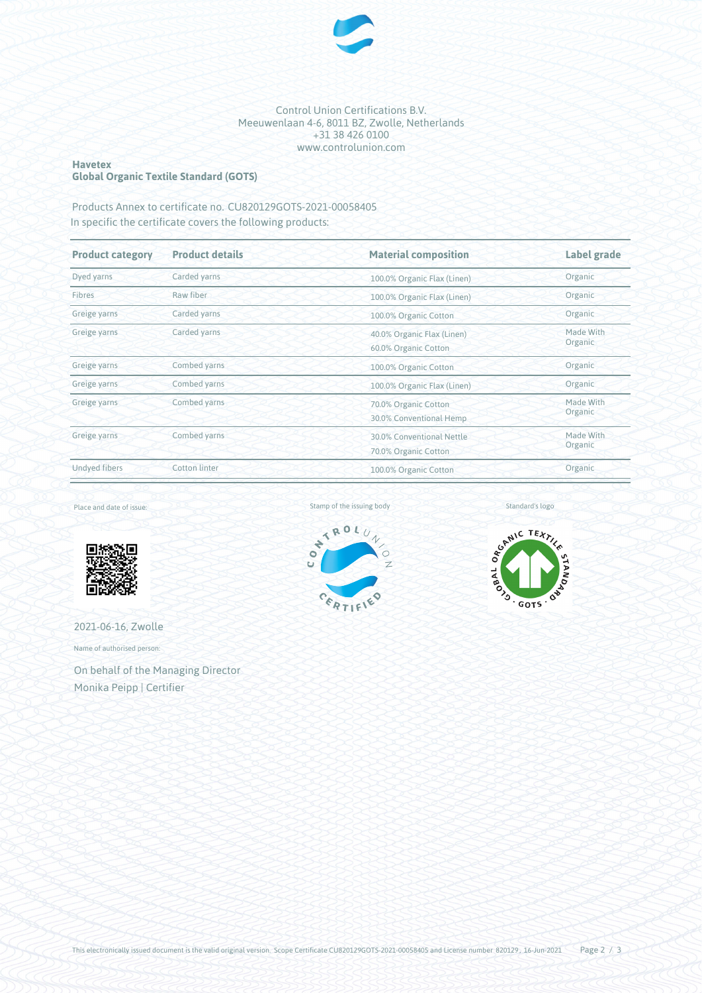

#### Control Union Certifications B.V. Meeuwenlaan 4-6, 8011 BZ, Zwolle, Netherlands +31 38 426 0100 www.controlunion.com

#### **Havetex Global Organic Textile Standard (GOTS)**

Products Annex to certificate no. CU820129GOTS-2021-00058405 In specific the certificate covers the following products:

| <b>Product category</b><br><b>Product details</b> |                                             | <b>Material composition</b>                        | <b>Label grade</b>   |  |
|---------------------------------------------------|---------------------------------------------|----------------------------------------------------|----------------------|--|
| Dyed yarns                                        | Carded yarns<br>100.0% Organic Flax (Linen) |                                                    | Organic              |  |
| Fibres                                            | Raw fiber                                   | 100.0% Organic Flax (Linen)                        | Organic              |  |
| Greige yarns                                      | Carded yarns                                | 100.0% Organic Cotton                              | Organic              |  |
| Greige yarns                                      | Carded yarns                                | 40.0% Organic Flax (Linen)<br>60.0% Organic Cotton | Made With<br>Organic |  |
| Greige yarns                                      | Combed yarns                                | 100.0% Organic Cotton                              | Organic              |  |
| Greige yarns                                      | Combed yarns                                | 100.0% Organic Flax (Linen)                        | Organic              |  |
| Greige yarns                                      | Combed yarns                                | 70.0% Organic Cotton<br>30.0% Conventional Hemp    | Made With<br>Organic |  |
| Greige yarns                                      | Combed yarns                                | 30.0% Conventional Nettle<br>70.0% Organic Cotton  | Made With<br>Organic |  |
| <b>Undyed fibers</b>                              | <b>Cotton linter</b>                        | Organic<br>100.0% Organic Cotton                   |                      |  |

Place and date of issue:



2021-06-16, Zwolle

Name of authorised person:

On behalf of the Managing Director Monika Peipp | Certifier